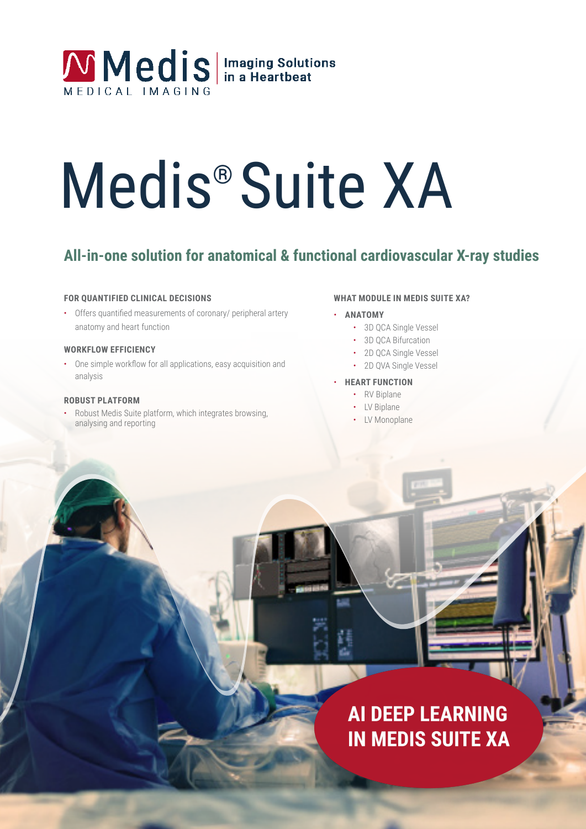

# Medis® Suite XA

# **All-in-one solution for anatomical & functional cardiovascular X-ray studies**

#### **FOR QUANTIFIED CLINICAL DECISIONS**

• Offers quantified measurements of coronary/ peripheral artery anatomy and heart function

#### **WORKFLOW EFFICIENCY**

• One simple workflow for all applications, easy acquisition and analysis

#### **ROBUST PLATFORM**

• Robust Medis Suite platform, which integrates browsing, analysing and reporting

#### **WHAT MODULE IN MEDIS SUITE XA?**

#### • **ANATOMY**

- 3D QCA Single Vessel
- 3D QCA Bifurcation
- 2D QCA Single Vessel
- 2D QVA Single Vessel

#### • **HEART FUNCTION**

- RV Biplane
- LV Biplane
- LV Monoplane

# **AI DEEP LEARNING IN MEDIS SUITE XA**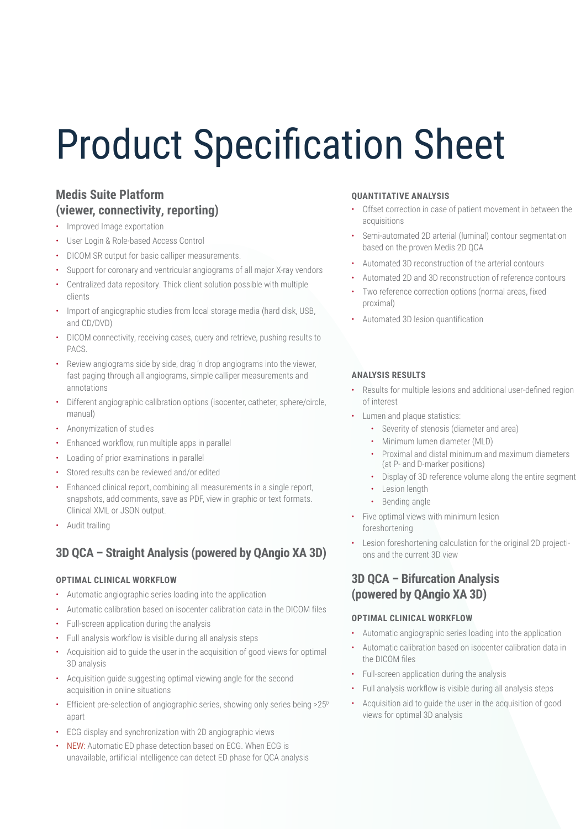# Product Specification Sheet

# **Medis Suite Platform (viewer, connectivity, reporting)**

- Improved Image exportation
- User Login & Role-based Access Control
- DICOM SR output for basic calliper measurements.
- Support for coronary and ventricular angiograms of all major X-ray vendors
- Centralized data repository. Thick client solution possible with multiple clients
- Import of angiographic studies from local storage media (hard disk, USB, and CD/DVD)
- DICOM connectivity, receiving cases, query and retrieve, pushing results to PACS.
- Review angiograms side by side, drag 'n drop angiograms into the viewer, fast paging through all angiograms, simple calliper measurements and annotations
- Different angiographic calibration options (isocenter, catheter, sphere/circle, manual)
- Anonymization of studies
- Enhanced workflow, run multiple apps in parallel
- Loading of prior examinations in parallel
- Stored results can be reviewed and/or edited
- Enhanced clinical report, combining all measurements in a single report, snapshots, add comments, save as PDF, view in graphic or text formats. Clinical XML or JSON output.
- Audit trailing

# **3D QCA – Straight Analysis (powered by QAngio XA 3D)**

#### **OPTIMAL CLINICAL WORKFLOW**

- Automatic angiographic series loading into the application
- Automatic calibration based on isocenter calibration data in the DICOM files
- Full-screen application during the analysis
- Full analysis workflow is visible during all analysis steps
- Acquisition aid to guide the user in the acquisition of good views for optimal 3D analysis
- Acquisition guide suggesting optimal viewing angle for the second acquisition in online situations
- Efficient pre-selection of angiographic series, showing only series being >25<sup>0</sup> apart
- ECG display and synchronization with 2D angiographic views
- NEW: Automatic ED phase detection based on ECG. When ECG is unavailable, artificial intelligence can detect ED phase for QCA analysis

#### **QUANTITATIVE ANALYSIS**

- Offset correction in case of patient movement in between the acquisitions
- Semi-automated 2D arterial (luminal) contour segmentation based on the proven Medis 2D QCA
- Automated 3D reconstruction of the arterial contours
- Automated 2D and 3D reconstruction of reference contours
- Two reference correction options (normal areas, fixed proximal)
- Automated 3D lesion quantification

#### **ANALYSIS RESULTS**

- Results for multiple lesions and additional user-defined region of interest
- Lumen and plaque statistics:
	- Severity of stenosis (diameter and area)
	- Minimum lumen diameter (MLD)
	- Proximal and distal minimum and maximum diameters (at P- and D-marker positions)
	- Display of 3D reference volume along the entire segment
	- Lesion length
	- Bending angle
- Five optimal views with minimum lesion foreshortening
- Lesion foreshortening calculation for the original 2D projections and the current 3D view

### **3D QCA – Bifurcation Analysis (powered by QAngio XA 3D)**

#### **OPTIMAL CLINICAL WORKFLOW**

- Automatic angiographic series loading into the application
- Automatic calibration based on isocenter calibration data in the DICOM files
- Full-screen application during the analysis
- Full analysis workflow is visible during all analysis steps
- Acquisition aid to guide the user in the acquisition of good views for optimal 3D analysis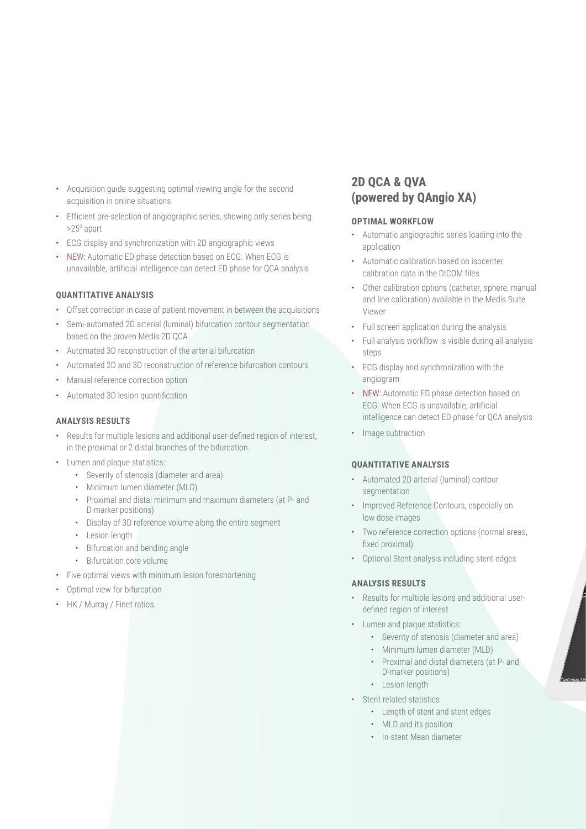- Acquisition guide suggesting optimal viewing angle for the second acquisition in online situations
- Efficient pre-selection of angiographic series, showing only series being >25<sup>0</sup> apart
- ECG display and synchronization with 2D angiographic views
- NEW: Automatic ED phase detection based on ECG. When ECG is unavailable, artificial intelligence can detect ED phase for QCA analysis

#### **QUANTITATIVE ANALYSIS**

- Offset correction in case of patient movement in between the acquisitions
- Semi-automated 2D arterial (luminal) bifurcation contour segmentation based on the proven Medis 2D QCA
- Automated 3D reconstruction of the arterial bifurcation
- Automated 2D and 3D reconstruction of reference bifurcation contours
- Manual reference correction option
- Automated 3D lesion quantification

#### **ANALYSIS RESULTS**

- Results for multiple lesions and additional user-defined region of interest, in the proximal or 2 distal branches of the bifurcation.
- Lumen and plaque statistics:
	- Severity of stenosis (diameter and area)
	- Minimum lumen diameter (MLD)
	- Proximal and distal minimum and maximum diameters (at P- and D-marker positions)
	- Display of 3D reference volume along the entire segment
	- Lesion length
	- Bifurcation and bending angle
	- Bifurcation core volume
- Five optimal views with minimum lesion foreshortening
- Optimal view for bifurcation
- HK / Murray / Finet ratios.

# **2D QCA & QVA (powered by QAngio XA)**

#### **OPTIMAL WORKFLOW**

- Automatic angiographic series loading into the application
- Automatic calibration based on isocenter calibration data in the DICOM files
- Other calibration options (catheter, sphere, manual and line calibration) available in the Medis Suite Viewer
- Full screen application during the analysis
- Full analysis workflow is visible during all analysis steps
- ECG display and synchronization with the angiogram
- NEW: Automatic ED phase detection based on ECG. When ECG is unavailable, artificial intelligence can detect ED phase for QCA analysis
- Image subtraction

#### **QUANTITATIVE ANALYSIS**

- Automated 2D arterial (luminal) contour segmentation
- Improved Reference Contours, especially on low dose images
- Two reference correction options (normal areas, fixed proximal)
- Optional Stent analysis including stent edges

#### **ANALYSIS RESULTS**

- Results for multiple lesions and additional userdefined region of interest
- Lumen and plaque statistics:
	- Severity of stenosis (diameter and area)
	- Minimum lumen diameter (MLD)
	- Proximal and distal diameters (at P- and D-marker positions)
	- Lesion length
- Stent related statistics
	- Length of stent and stent edges
	- MLD and its position
	- In-stent Mean diameter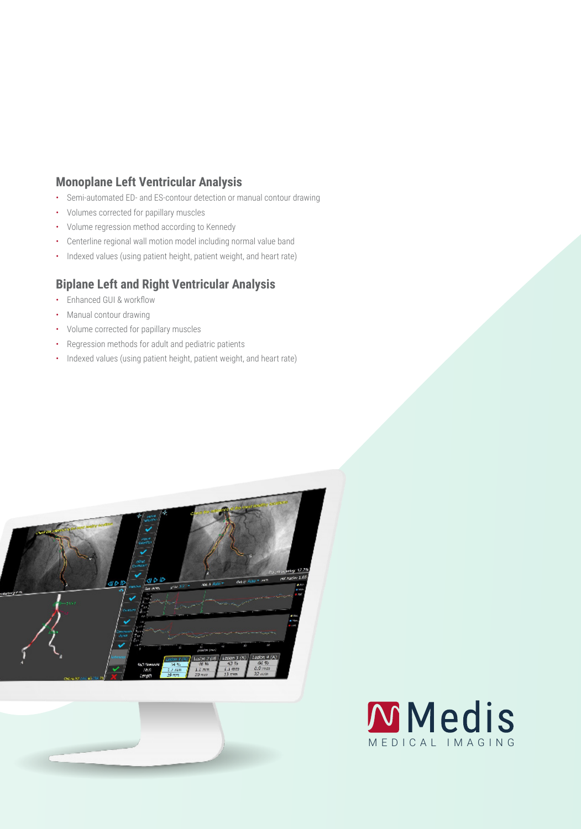# **Monoplane Left Ventricular Analysis**

- Semi-automated ED- and ES-contour detection or manual contour drawing
- Volumes corrected for papillary muscles
- Volume regression method according to Kennedy
- Centerline regional wall motion model including normal value band
- Indexed values (using patient height, patient weight, and heart rate)

# **Biplane Left and Right Ventricular Analysis**

- Enhanced GUI & workflow
- Manual contour drawing
- Volume corrected for papillary muscles
- Regression methods for adult and pediatric patients
- Indexed values (using patient height, patient weight, and heart rate)